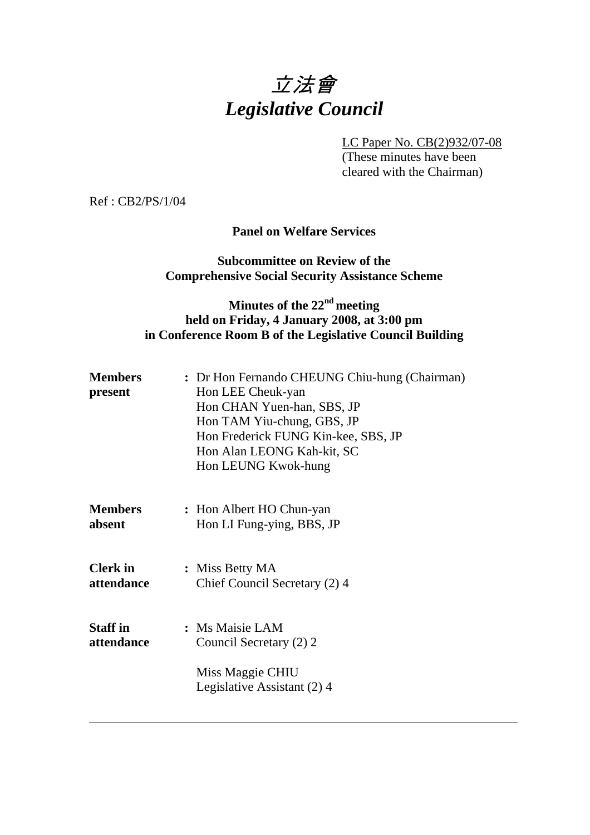# 立法會 *Legislative Council*

LC Paper No. CB(2)932/07-08

 (These minutes have been cleared with the Chairman)

Ref : CB2/PS/1/04

#### **Panel on Welfare Services**

#### **Subcommittee on Review of the Comprehensive Social Security Assistance Scheme**

## **Minutes of the 22nd meeting held on Friday, 4 January 2008, at 3:00 pm in Conference Room B of the Legislative Council Building**

| <b>Members</b><br>present     | : Dr Hon Fernando CHEUNG Chiu-hung (Chairman)<br>Hon LEE Cheuk-yan<br>Hon CHAN Yuen-han, SBS, JP<br>Hon TAM Yiu-chung, GBS, JP<br>Hon Frederick FUNG Kin-kee, SBS, JP<br>Hon Alan LEONG Kah-kit, SC<br>Hon LEUNG Kwok-hung |
|-------------------------------|----------------------------------------------------------------------------------------------------------------------------------------------------------------------------------------------------------------------------|
| <b>Members</b>                | : Hon Albert HO Chun-yan                                                                                                                                                                                                   |
| absent                        | Hon LI Fung-ying, BBS, JP                                                                                                                                                                                                  |
| <b>Clerk</b> in               | : Miss Betty MA                                                                                                                                                                                                            |
| attendance                    | Chief Council Secretary (2) 4                                                                                                                                                                                              |
| <b>Staff</b> in<br>attendance | : Ms Maisie LAM<br>Council Secretary (2) 2<br>Miss Maggie CHIU<br>Legislative Assistant (2) 4                                                                                                                              |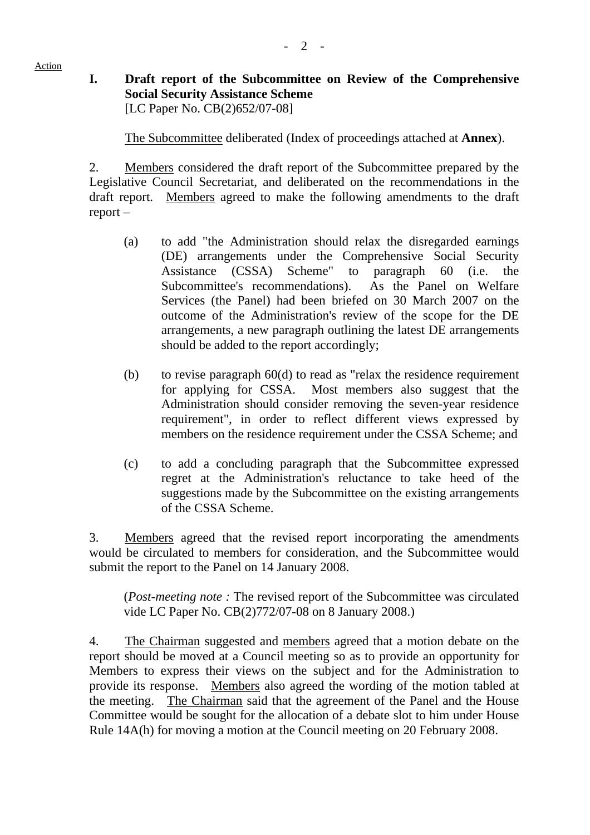Action

## **I. Draft report of the Subcommittee on Review of the Comprehensive Social Security Assistance Scheme**  [LC Paper No. CB(2)652/07-08]

1. The Subcommittee deliberated (Index of proceedings attached at **Annex**).

2. Members considered the draft report of the Subcommittee prepared by the Legislative Council Secretariat, and deliberated on the recommendations in the draft report. Members agreed to make the following amendments to the draft report –

- (a) to add "the Administration should relax the disregarded earnings (DE) arrangements under the Comprehensive Social Security Assistance (CSSA) Scheme" to paragraph 60 (i.e. the Subcommittee's recommendations). As the Panel on Welfare Services (the Panel) had been briefed on 30 March 2007 on the outcome of the Administration's review of the scope for the DE arrangements, a new paragraph outlining the latest DE arrangements should be added to the report accordingly;
- (b) to revise paragraph  $60(d)$  to read as "relax the residence requirement for applying for CSSA. Most members also suggest that the Administration should consider removing the seven-year residence requirement", in order to reflect different views expressed by members on the residence requirement under the CSSA Scheme; and
- (c) to add a concluding paragraph that the Subcommittee expressed regret at the Administration's reluctance to take heed of the suggestions made by the Subcommittee on the existing arrangements of the CSSA Scheme.

3. Members agreed that the revised report incorporating the amendments would be circulated to members for consideration, and the Subcommittee would submit the report to the Panel on 14 January 2008.

(*Post-meeting note :* The revised report of the Subcommittee was circulated vide LC Paper No. CB(2)772/07-08 on 8 January 2008.)

4. The Chairman suggested and members agreed that a motion debate on the report should be moved at a Council meeting so as to provide an opportunity for Members to express their views on the subject and for the Administration to provide its response. Members also agreed the wording of the motion tabled at the meeting. The Chairman said that the agreement of the Panel and the House Committee would be sought for the allocation of a debate slot to him under House Rule 14A(h) for moving a motion at the Council meeting on 20 February 2008.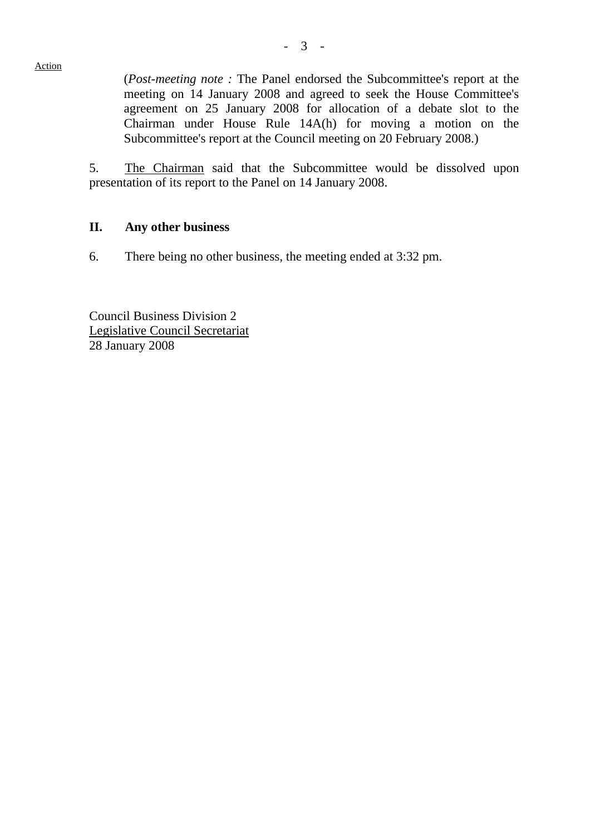(*Post-meeting note :* The Panel endorsed the Subcommittee's report at the meeting on 14 January 2008 and agreed to seek the House Committee's agreement on 25 January 2008 for allocation of a debate slot to the Chairman under House Rule 14A(h) for moving a motion on the Subcommittee's report at the Council meeting on 20 February 2008.)

5. The Chairman said that the Subcommittee would be dissolved upon presentation of its report to the Panel on 14 January 2008.

#### **II. Any other business**

6. There being no other business, the meeting ended at 3:32 pm.

Council Business Division 2 Legislative Council Secretariat 28 January 2008